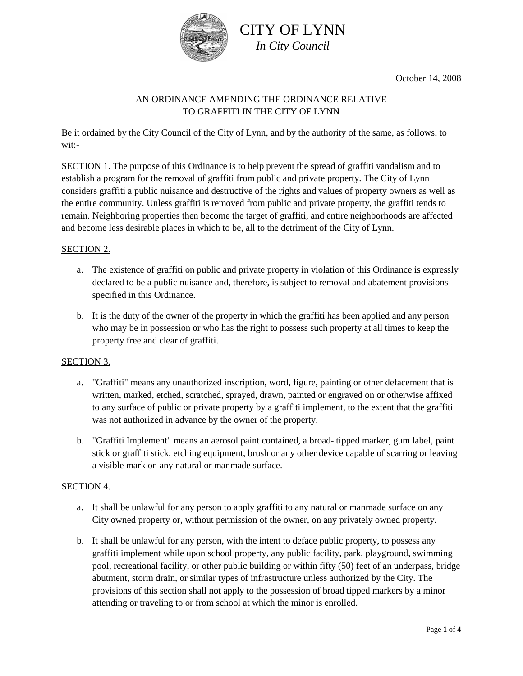

October 14, 2008

### AN ORDINANCE AMENDING THE ORDINANCE RELATIVE TO GRAFFITI IN THE CITY OF LYNN

Be it ordained by the City Council of the City of Lynn, and by the authority of the same, as follows, to wit:-

SECTION 1. The purpose of this Ordinance is to help prevent the spread of graffiti vandalism and to establish a program for the removal of graffiti from public and private property. The City of Lynn considers graffiti a public nuisance and destructive of the rights and values of property owners as well as the entire community. Unless graffiti is removed from public and private property, the graffiti tends to remain. Neighboring properties then become the target of graffiti, and entire neighborhoods are affected and become less desirable places in which to be, all to the detriment of the City of Lynn.

### SECTION 2.

- a. The existence of graffiti on public and private property in violation of this Ordinance is expressly declared to be a public nuisance and, therefore, is subject to removal and abatement provisions specified in this Ordinance.
- b. It is the duty of the owner of the property in which the graffiti has been applied and any person who may be in possession or who has the right to possess such property at all times to keep the property free and clear of graffiti.

#### SECTION 3.

- a. "Graffiti" means any unauthorized inscription, word, figure, painting or other defacement that is written, marked, etched, scratched, sprayed, drawn, painted or engraved on or otherwise affixed to any surface of public or private property by a graffiti implement, to the extent that the graffiti was not authorized in advance by the owner of the property.
- b. "Graffiti Implement" means an aerosol paint contained, a broad- tipped marker, gum label, paint stick or graffiti stick, etching equipment, brush or any other device capable of scarring or leaving a visible mark on any natural or manmade surface.

#### SECTION 4.

- a. It shall be unlawful for any person to apply graffiti to any natural or manmade surface on any City owned property or, without permission of the owner, on any privately owned property.
- b. It shall be unlawful for any person, with the intent to deface public property, to possess any graffiti implement while upon school property, any public facility, park, playground, swimming pool, recreational facility, or other public building or within fifty (50) feet of an underpass, bridge abutment, storm drain, or similar types of infrastructure unless authorized by the City. The provisions of this section shall not apply to the possession of broad tipped markers by a minor attending or traveling to or from school at which the minor is enrolled.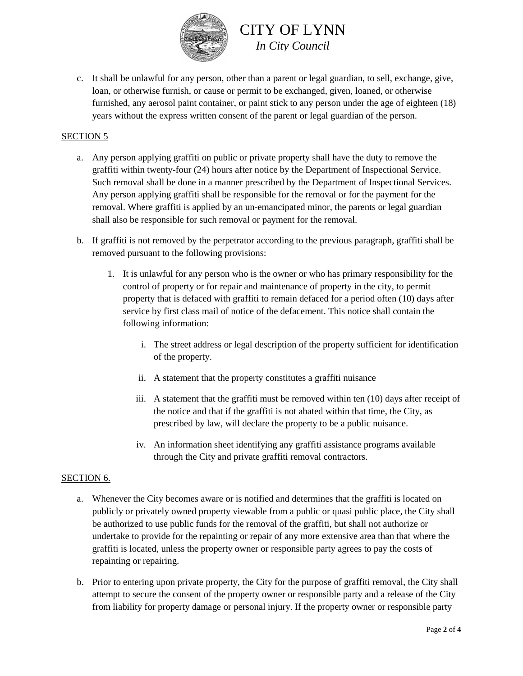

c. It shall be unlawful for any person, other than a parent or legal guardian, to sell, exchange, give, loan, or otherwise furnish, or cause or permit to be exchanged, given, loaned, or otherwise furnished, any aerosol paint container, or paint stick to any person under the age of eighteen (18) years without the express written consent of the parent or legal guardian of the person.

### SECTION 5

- a. Any person applying graffiti on public or private property shall have the duty to remove the graffiti within twenty-four (24) hours after notice by the Department of Inspectional Service. Such removal shall be done in a manner prescribed by the Department of Inspectional Services. Any person applying graffiti shall be responsible for the removal or for the payment for the removal. Where graffiti is applied by an un-emancipated minor, the parents or legal guardian shall also be responsible for such removal or payment for the removal.
- b. If graffiti is not removed by the perpetrator according to the previous paragraph, graffiti shall be removed pursuant to the following provisions:
	- 1. It is unlawful for any person who is the owner or who has primary responsibility for the control of property or for repair and maintenance of property in the city, to permit property that is defaced with graffiti to remain defaced for a period often (10) days after service by first class mail of notice of the defacement. This notice shall contain the following information:
		- i. The street address or legal description of the property sufficient for identification of the property.
		- ii. A statement that the property constitutes a graffiti nuisance
		- iii. A statement that the graffiti must be removed within ten (10) days after receipt of the notice and that if the graffiti is not abated within that time, the City, as prescribed by law, will declare the property to be a public nuisance.
		- iv. An information sheet identifying any graffiti assistance programs available through the City and private graffiti removal contractors.

#### SECTION 6.

- a. Whenever the City becomes aware or is notified and determines that the graffiti is located on publicly or privately owned property viewable from a public or quasi public place, the City shall be authorized to use public funds for the removal of the graffiti, but shall not authorize or undertake to provide for the repainting or repair of any more extensive area than that where the graffiti is located, unless the property owner or responsible party agrees to pay the costs of repainting or repairing.
- b. Prior to entering upon private property, the City for the purpose of graffiti removal, the City shall attempt to secure the consent of the property owner or responsible party and a release of the City from liability for property damage or personal injury. If the property owner or responsible party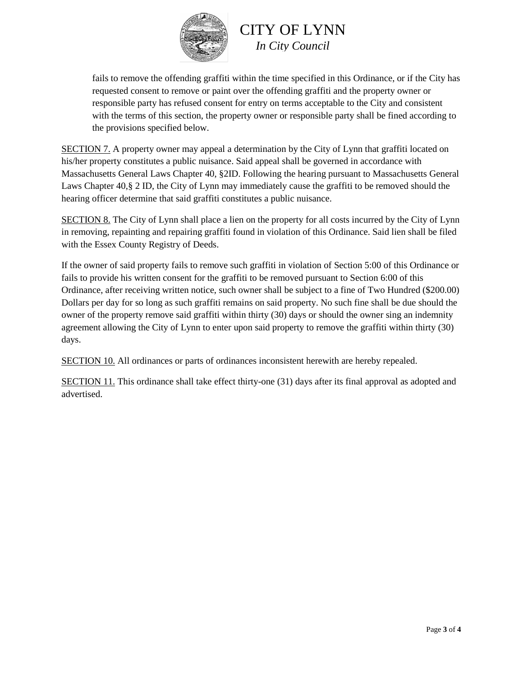

fails to remove the offending graffiti within the time specified in this Ordinance, or if the City has requested consent to remove or paint over the offending graffiti and the property owner or responsible party has refused consent for entry on terms acceptable to the City and consistent with the terms of this section, the property owner or responsible party shall be fined according to the provisions specified below.

SECTION 7. A property owner may appeal a determination by the City of Lynn that graffiti located on his/her property constitutes a public nuisance. Said appeal shall be governed in accordance with Massachusetts General Laws Chapter 40, §2ID. Following the hearing pursuant to Massachusetts General Laws Chapter 40,§ 2 ID, the City of Lynn may immediately cause the graffiti to be removed should the hearing officer determine that said graffiti constitutes a public nuisance.

SECTION 8. The City of Lynn shall place a lien on the property for all costs incurred by the City of Lynn in removing, repainting and repairing graffiti found in violation of this Ordinance. Said lien shall be filed with the Essex County Registry of Deeds.

If the owner of said property fails to remove such graffiti in violation of Section 5:00 of this Ordinance or fails to provide his written consent for the graffiti to be removed pursuant to Section 6:00 of this Ordinance, after receiving written notice, such owner shall be subject to a fine of Two Hundred (\$200.00) Dollars per day for so long as such graffiti remains on said property. No such fine shall be due should the owner of the property remove said graffiti within thirty (30) days or should the owner sing an indemnity agreement allowing the City of Lynn to enter upon said property to remove the graffiti within thirty (30) days.

SECTION 10. All ordinances or parts of ordinances inconsistent herewith are hereby repealed.

SECTION 11. This ordinance shall take effect thirty-one (31) days after its final approval as adopted and advertised.